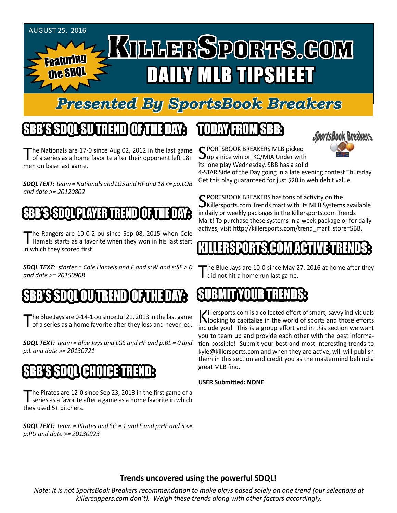

### *Presented By SportsBook Breakers*

## SBB'S SDQL SU TREND OF THE DAY:

The Nationals are 17-0 since Aug 02, 2012 in the last game<br>of a series as a home favorite after their opponent left 18+ men on base last game.

*SDQL TEXT: team = Nationals and LGS and HF and 18 <= po:LOB and date >= 20120802*

#### SBB'S SSBSTITT PLAYER T

The Rangers are 10-0-2 ou since Sep 08, 2015 when Cole<br>Hamels starts as a favorite when they won in his last start in which they scored first.

*SDQL TEXT: starter = Cole Hamels and F and s:W and s:SF > 0 and date >= 20150908*

#### SBB'S SDQL OU TREND OF THE DAY:

The Blue Jays are 0-14-1 ou since Jul 21, 2013 in the last game<br>of a series as a home favorite after they loss and never led.

*SDQL TEXT: team = Blue Jays and LGS and HF and p:BL = 0 and p:L and date >= 20130721*

#### SBB'S SDQL CHOICE TREND

The Pirates are 12-0 since Sep 23, 2013 in the first game of a<br>series as a favorite after a game as a home favorite in which they used 5+ pitchers.

*SDQL TEXT: team = Pirates and SG = 1 and F and p:HF and 5 <= p:PU and date >= 20130923*

#### TODAY HAOMSBB



C PORTSBOOK BREAKERS MLB picked  $\mathbf{U}$ up a nice win on KC/MIA Under with its lone play Wednesday. SBB has a solid

4-STAR Side of the Day going in a late evening contest Thursday. Get this play guaranteed for just \$20 in web debit value.

SPORTSBOOK BREAKERS has tons of activity on the<br>Killersports.com Trends mart with its MLB Systems available in daily or weekly packages in the Killersports.com Trends Mart! To purchase these systems in a week package or for daily actives, visit http://killersports.com/trend\_mart?store=SBB.

#### KILLERSPORTS.COM ACTIVE TRENDS:

The Blue Jays are 10-0 since May 27, 2016 at home after they did not hit a home run last game.

#### SUBMITYOURTRENDS:

Killersports.com is a collected effort of smart, savvy individuals<br>Nooking to capitalize in the world of sports and those efforts include you! This is a group effort and in this section we want you to team up and provide each other with the best information possible! Submit your best and most interesting trends to kyle@killersports.com and when they are active, will will publish them in this section and credit you as the mastermind behind a great MLB find.

#### **USER Submitted: NONE**

#### **Trends uncovered using the powerful SDQL!**

*Note: It is not SportsBook Breakers recommendation to make plays based solely on one trend (our selections at killercappers.com don't). Weigh these trends along with other factors accordingly.*